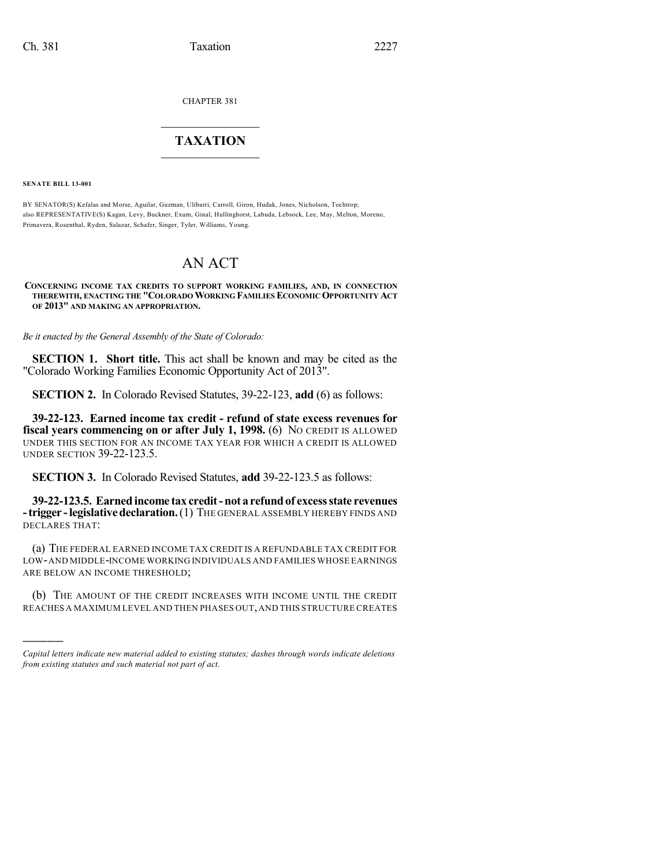CHAPTER 381

## $\overline{\phantom{a}}$  . The set of the set of the set of the set of the set of the set of the set of the set of the set of the set of the set of the set of the set of the set of the set of the set of the set of the set of the set o **TAXATION**  $\_$

**SENATE BILL 13-001**

)))))

BY SENATOR(S) Kefalas and Morse, Aguilar, Guzman, Ulibarri, Carroll, Giron, Hudak, Jones, Nicholson, Tochtrop; also REPRESENTATIVE(S) Kagan, Levy, Buckner, Exum, Ginal, Hullinghorst, Labuda, Lebsock, Lee, May, Melton, Moreno, Primavera, Rosenthal, Ryden, Salazar, Schafer, Singer, Tyler, Williams, Young.

## AN ACT

**CONCERNING INCOME TAX CREDITS TO SUPPORT WORKING FAMILIES, AND, IN CONNECTION THEREWITH, ENACTING THE "COLORADOWORKING FAMILIES ECONOMICOPPORTUNITY ACT OF 2013" AND MAKING AN APPROPRIATION.**

*Be it enacted by the General Assembly of the State of Colorado:*

**SECTION 1. Short title.** This act shall be known and may be cited as the "Colorado Working Families Economic Opportunity Act of 2013".

**SECTION 2.** In Colorado Revised Statutes, 39-22-123, **add** (6) as follows:

**39-22-123. Earned income tax credit - refund of state excess revenues for fiscal years commencing on or after July 1, 1998.** (6) NO CREDIT IS ALLOWED UNDER THIS SECTION FOR AN INCOME TAX YEAR FOR WHICH A CREDIT IS ALLOWED UNDER SECTION 39-22-123.5.

**SECTION 3.** In Colorado Revised Statutes, **add** 39-22-123.5 as follows:

**39-22-123.5. Earned income tax credit-not a refundof excessstate revenues -trigger -legislativedeclaration.**(1) THE GENERAL ASSEMBLY HEREBY FINDS AND DECLARES THAT:

(a) THE FEDERAL EARNED INCOME TAX CREDIT IS A REFUNDABLE TAX CREDIT FOR LOW-AND MIDDLE-INCOME WORKING INDIVIDUALS AND FAMILIES WHOSE EARNINGS ARE BELOW AN INCOME THRESHOLD;

(b) THE AMOUNT OF THE CREDIT INCREASES WITH INCOME UNTIL THE CREDIT REACHES A MAXIMUM LEVEL AND THEN PHASES OUT,AND THIS STRUCTURE CREATES

*Capital letters indicate new material added to existing statutes; dashes through words indicate deletions from existing statutes and such material not part of act.*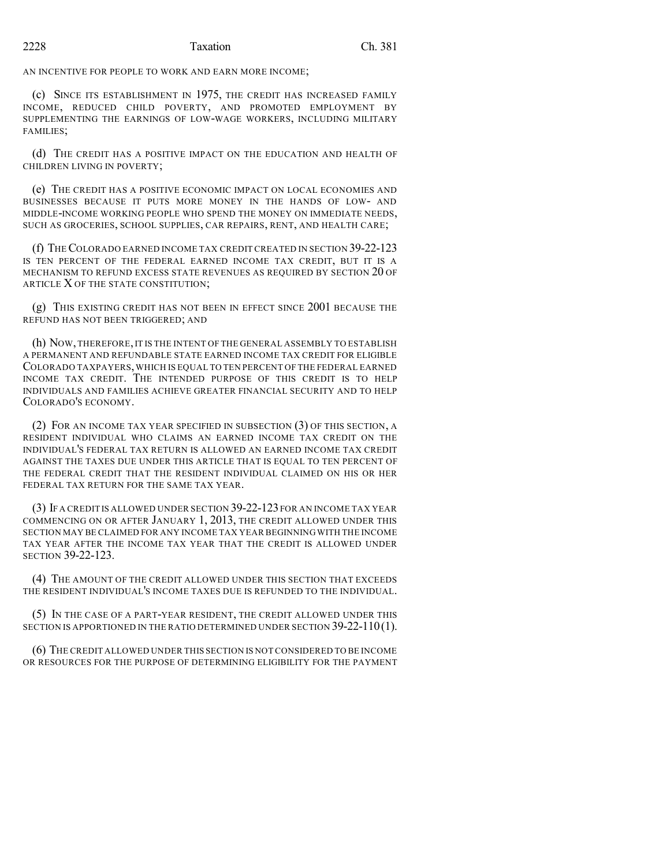## 2228 Taxation Ch. 381

AN INCENTIVE FOR PEOPLE TO WORK AND EARN MORE INCOME;

(c) SINCE ITS ESTABLISHMENT IN 1975, THE CREDIT HAS INCREASED FAMILY INCOME, REDUCED CHILD POVERTY, AND PROMOTED EMPLOYMENT BY SUPPLEMENTING THE EARNINGS OF LOW-WAGE WORKERS, INCLUDING MILITARY FAMILIES;

(d) THE CREDIT HAS A POSITIVE IMPACT ON THE EDUCATION AND HEALTH OF CHILDREN LIVING IN POVERTY;

(e) THE CREDIT HAS A POSITIVE ECONOMIC IMPACT ON LOCAL ECONOMIES AND BUSINESSES BECAUSE IT PUTS MORE MONEY IN THE HANDS OF LOW- AND MIDDLE-INCOME WORKING PEOPLE WHO SPEND THE MONEY ON IMMEDIATE NEEDS, SUCH AS GROCERIES, SCHOOL SUPPLIES, CAR REPAIRS, RENT, AND HEALTH CARE;

(f) THECOLORADO EARNED INCOME TAX CREDIT CREATED IN SECTION 39-22-123 IS TEN PERCENT OF THE FEDERAL EARNED INCOME TAX CREDIT, BUT IT IS A MECHANISM TO REFUND EXCESS STATE REVENUES AS REQUIRED BY SECTION 20 OF ARTICLE X OF THE STATE CONSTITUTION;

(g) THIS EXISTING CREDIT HAS NOT BEEN IN EFFECT SINCE 2001 BECAUSE THE REFUND HAS NOT BEEN TRIGGERED; AND

(h) NOW,THEREFORE,IT IS THE INTENT OF THE GENERAL ASSEMBLY TO ESTABLISH A PERMANENT AND REFUNDABLE STATE EARNED INCOME TAX CREDIT FOR ELIGIBLE COLORADO TAXPAYERS,WHICH IS EQUAL TO TEN PERCENT OF THE FEDERAL EARNED INCOME TAX CREDIT. THE INTENDED PURPOSE OF THIS CREDIT IS TO HELP INDIVIDUALS AND FAMILIES ACHIEVE GREATER FINANCIAL SECURITY AND TO HELP COLORADO'S ECONOMY.

(2) FOR AN INCOME TAX YEAR SPECIFIED IN SUBSECTION (3) OF THIS SECTION, A RESIDENT INDIVIDUAL WHO CLAIMS AN EARNED INCOME TAX CREDIT ON THE INDIVIDUAL'S FEDERAL TAX RETURN IS ALLOWED AN EARNED INCOME TAX CREDIT AGAINST THE TAXES DUE UNDER THIS ARTICLE THAT IS EQUAL TO TEN PERCENT OF THE FEDERAL CREDIT THAT THE RESIDENT INDIVIDUAL CLAIMED ON HIS OR HER FEDERAL TAX RETURN FOR THE SAME TAX YEAR.

(3) IF A CREDIT IS ALLOWED UNDER SECTION 39-22-123 FOR AN INCOME TAX YEAR COMMENCING ON OR AFTER JANUARY 1, 2013, THE CREDIT ALLOWED UNDER THIS SECTION MAY BE CLAIMED FOR ANY INCOME TAX YEAR BEGINNING WITH THE INCOME TAX YEAR AFTER THE INCOME TAX YEAR THAT THE CREDIT IS ALLOWED UNDER SECTION 39-22-123.

(4) THE AMOUNT OF THE CREDIT ALLOWED UNDER THIS SECTION THAT EXCEEDS THE RESIDENT INDIVIDUAL'S INCOME TAXES DUE IS REFUNDED TO THE INDIVIDUAL.

(5) IN THE CASE OF A PART-YEAR RESIDENT, THE CREDIT ALLOWED UNDER THIS SECTION IS APPORTIONED IN THE RATIO DETERMINED UNDER SECTION 39-22-110(1).

(6) THE CREDIT ALLOWED UNDER THIS SECTION IS NOT CONSIDERED TO BE INCOME OR RESOURCES FOR THE PURPOSE OF DETERMINING ELIGIBILITY FOR THE PAYMENT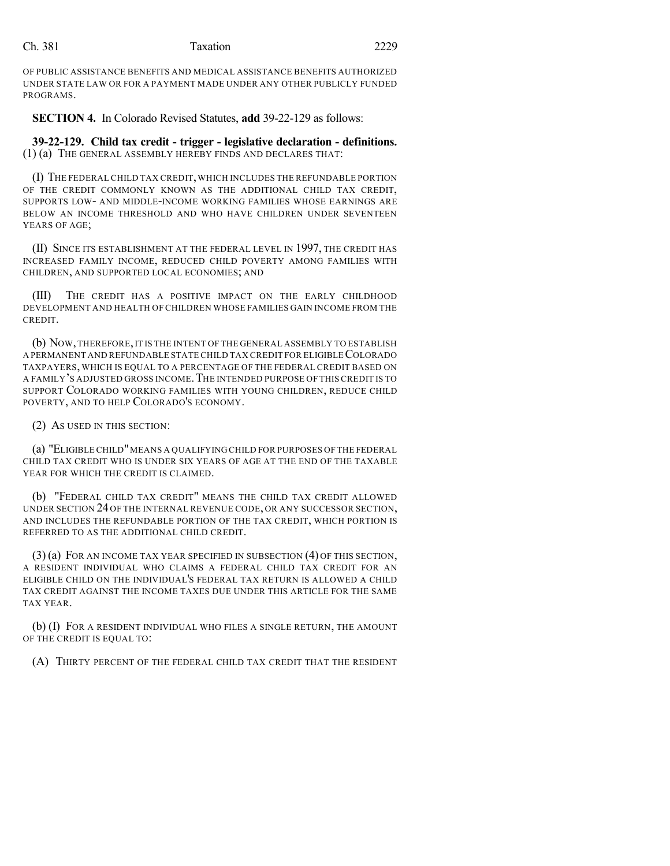OF PUBLIC ASSISTANCE BENEFITS AND MEDICAL ASSISTANCE BENEFITS AUTHORIZED UNDER STATE LAW OR FOR A PAYMENT MADE UNDER ANY OTHER PUBLICLY FUNDED PROGRAMS.

**SECTION 4.** In Colorado Revised Statutes, **add** 39-22-129 as follows:

**39-22-129. Child tax credit - trigger - legislative declaration - definitions.** (1) (a) THE GENERAL ASSEMBLY HEREBY FINDS AND DECLARES THAT:

(I) THE FEDERAL CHILD TAX CREDIT,WHICH INCLUDES THE REFUNDABLE PORTION OF THE CREDIT COMMONLY KNOWN AS THE ADDITIONAL CHILD TAX CREDIT, SUPPORTS LOW- AND MIDDLE-INCOME WORKING FAMILIES WHOSE EARNINGS ARE BELOW AN INCOME THRESHOLD AND WHO HAVE CHILDREN UNDER SEVENTEEN YEARS OF AGE;

(II) SINCE ITS ESTABLISHMENT AT THE FEDERAL LEVEL IN 1997, THE CREDIT HAS INCREASED FAMILY INCOME, REDUCED CHILD POVERTY AMONG FAMILIES WITH CHILDREN, AND SUPPORTED LOCAL ECONOMIES; AND

(III) THE CREDIT HAS A POSITIVE IMPACT ON THE EARLY CHILDHOOD DEVELOPMENT AND HEALTH OF CHILDREN WHOSE FAMILIES GAIN INCOME FROM THE CREDIT.

(b) NOW,THEREFORE,IT IS THE INTENT OF THE GENERAL ASSEMBLY TO ESTABLISH A PERMANENT AND REFUNDABLE STATE CHILD TAX CREDIT FOR ELIGIBLECOLORADO TAXPAYERS, WHICH IS EQUAL TO A PERCENTAGE OF THE FEDERAL CREDIT BASED ON A FAMILY'S ADJUSTED GROSS INCOME.THE INTENDED PURPOSE OF THIS CREDIT IS TO SUPPORT COLORADO WORKING FAMILIES WITH YOUNG CHILDREN, REDUCE CHILD POVERTY, AND TO HELP COLORADO'S ECONOMY.

(2) AS USED IN THIS SECTION:

(a) "ELIGIBLE CHILD"MEANS A QUALIFYING CHILD FOR PURPOSES OF THE FEDERAL CHILD TAX CREDIT WHO IS UNDER SIX YEARS OF AGE AT THE END OF THE TAXABLE YEAR FOR WHICH THE CREDIT IS CLAIMED.

(b) "FEDERAL CHILD TAX CREDIT" MEANS THE CHILD TAX CREDIT ALLOWED UNDER SECTION 24 OF THE INTERNAL REVENUE CODE, OR ANY SUCCESSOR SECTION, AND INCLUDES THE REFUNDABLE PORTION OF THE TAX CREDIT, WHICH PORTION IS REFERRED TO AS THE ADDITIONAL CHILD CREDIT.

 $(3)$  (a) FOR AN INCOME TAX YEAR SPECIFIED IN SUBSECTION  $(4)$  OF THIS SECTION, A RESIDENT INDIVIDUAL WHO CLAIMS A FEDERAL CHILD TAX CREDIT FOR AN ELIGIBLE CHILD ON THE INDIVIDUAL'S FEDERAL TAX RETURN IS ALLOWED A CHILD TAX CREDIT AGAINST THE INCOME TAXES DUE UNDER THIS ARTICLE FOR THE SAME TAX YEAR.

(b) (I) FOR A RESIDENT INDIVIDUAL WHO FILES A SINGLE RETURN, THE AMOUNT OF THE CREDIT IS EQUAL TO:

(A) THIRTY PERCENT OF THE FEDERAL CHILD TAX CREDIT THAT THE RESIDENT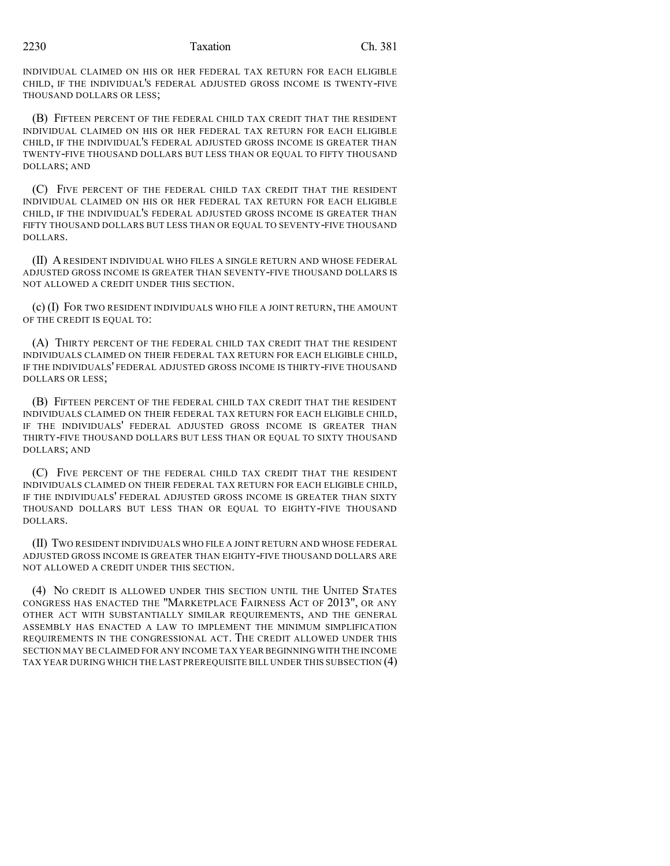INDIVIDUAL CLAIMED ON HIS OR HER FEDERAL TAX RETURN FOR EACH ELIGIBLE CHILD, IF THE INDIVIDUAL'S FEDERAL ADJUSTED GROSS INCOME IS TWENTY-FIVE THOUSAND DOLLARS OR LESS;

(B) FIFTEEN PERCENT OF THE FEDERAL CHILD TAX CREDIT THAT THE RESIDENT INDIVIDUAL CLAIMED ON HIS OR HER FEDERAL TAX RETURN FOR EACH ELIGIBLE CHILD, IF THE INDIVIDUAL'S FEDERAL ADJUSTED GROSS INCOME IS GREATER THAN TWENTY-FIVE THOUSAND DOLLARS BUT LESS THAN OR EQUAL TO FIFTY THOUSAND DOLLARS; AND

(C) FIVE PERCENT OF THE FEDERAL CHILD TAX CREDIT THAT THE RESIDENT INDIVIDUAL CLAIMED ON HIS OR HER FEDERAL TAX RETURN FOR EACH ELIGIBLE CHILD, IF THE INDIVIDUAL'S FEDERAL ADJUSTED GROSS INCOME IS GREATER THAN FIFTY THOUSAND DOLLARS BUT LESS THAN OR EQUAL TO SEVENTY-FIVE THOUSAND DOLLARS.

(II) A RESIDENT INDIVIDUAL WHO FILES A SINGLE RETURN AND WHOSE FEDERAL ADJUSTED GROSS INCOME IS GREATER THAN SEVENTY-FIVE THOUSAND DOLLARS IS NOT ALLOWED A CREDIT UNDER THIS SECTION.

(c) (I) FOR TWO RESIDENT INDIVIDUALS WHO FILE A JOINT RETURN, THE AMOUNT OF THE CREDIT IS EQUAL TO:

(A) THIRTY PERCENT OF THE FEDERAL CHILD TAX CREDIT THAT THE RESIDENT INDIVIDUALS CLAIMED ON THEIR FEDERAL TAX RETURN FOR EACH ELIGIBLE CHILD, IF THE INDIVIDUALS' FEDERAL ADJUSTED GROSS INCOME IS THIRTY-FIVE THOUSAND DOLLARS OR LESS;

(B) FIFTEEN PERCENT OF THE FEDERAL CHILD TAX CREDIT THAT THE RESIDENT INDIVIDUALS CLAIMED ON THEIR FEDERAL TAX RETURN FOR EACH ELIGIBLE CHILD, IF THE INDIVIDUALS' FEDERAL ADJUSTED GROSS INCOME IS GREATER THAN THIRTY-FIVE THOUSAND DOLLARS BUT LESS THAN OR EQUAL TO SIXTY THOUSAND DOLLARS; AND

(C) FIVE PERCENT OF THE FEDERAL CHILD TAX CREDIT THAT THE RESIDENT INDIVIDUALS CLAIMED ON THEIR FEDERAL TAX RETURN FOR EACH ELIGIBLE CHILD, IF THE INDIVIDUALS' FEDERAL ADJUSTED GROSS INCOME IS GREATER THAN SIXTY THOUSAND DOLLARS BUT LESS THAN OR EQUAL TO EIGHTY-FIVE THOUSAND DOLLARS.

(II) TWO RESIDENT INDIVIDUALS WHO FILE A JOINT RETURN AND WHOSE FEDERAL ADJUSTED GROSS INCOME IS GREATER THAN EIGHTY-FIVE THOUSAND DOLLARS ARE NOT ALLOWED A CREDIT UNDER THIS SECTION.

(4) NO CREDIT IS ALLOWED UNDER THIS SECTION UNTIL THE UNITED STATES CONGRESS HAS ENACTED THE "MARKETPLACE FAIRNESS ACT OF 2013", OR ANY OTHER ACT WITH SUBSTANTIALLY SIMILAR REQUIREMENTS, AND THE GENERAL ASSEMBLY HAS ENACTED A LAW TO IMPLEMENT THE MINIMUM SIMPLIFICATION REQUIREMENTS IN THE CONGRESSIONAL ACT. THE CREDIT ALLOWED UNDER THIS SECTION MAY BE CLAIMED FOR ANY INCOME TAX YEAR BEGINNING WITH THE INCOME TAX YEAR DURING WHICH THE LAST PREREQUISITE BILL UNDER THIS SUBSECTION (4)